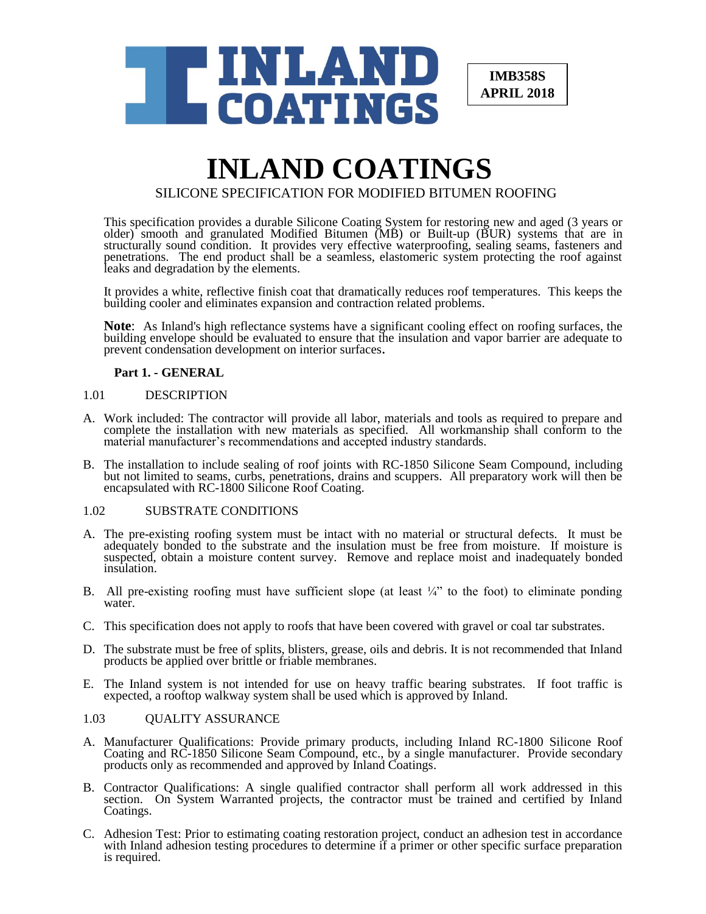

**IMB358S APRIL 2018**

# **INLAND COATINGS** SILICONE SPECIFICATION FOR MODIFIED BITUMEN ROOFING

This specification provides a durable Silicone Coating System for restoring new and aged (3 years or older) smooth and granulated Modified Bitumen (MB) or Built-up (BUR) systems that are in structurally sound condition. It provides very effective waterproofing, sealing seams, fasteners and penetrations. The end product shall be a seamless, elastomeric system protecting the roof against leaks and degradation by the elements.

It provides a white, reflective finish coat that dramatically reduces roof temperatures. This keeps the building cooler and eliminates expansion and contraction related problems.

**Note**: As Inland's high reflectance systems have a significant cooling effect on roofing surfaces, the building envelope should be evaluated to ensure that the insulation and vapor barrier are adequate to prevent condensation development on interior surfaces.

## **Part 1. - GENERAL**

## 1.01 DESCRIPTION

- A. Work included: The contractor will provide all labor, materials and tools as required to prepare and complete the installation with new materials as specified. All workmanship shall conform to the material manufacturer's recommendations and accepted industry standards.
- B. The installation to include sealing of roof joints with RC-1850 Silicone Seam Compound, including but not limited to seams, curbs, penetrations, drains and scuppers. All preparatory work will then be encapsulated with RC-1800 Silicone Roof Coating.

# 1.02 SUBSTRATE CONDITIONS

- A. The pre-existing roofing system must be intact with no material or structural defects. It must be adequately bonded to the substrate and the insulation must be free from moisture. If moisture is suspected, obtain a moisture content survey. Remove and replace moist and inadequately bonded insulation.
- B. All pre-existing roofing must have sufficient slope (at least  $\frac{1}{4}$ " to the foot) to eliminate ponding water<sup>e</sup>.
- C. This specification does not apply to roofs that have been covered with gravel or coal tar substrates.
- D. The substrate must be free of splits, blisters, grease, oils and debris. It is not recommended that Inland products be applied over brittle or friable membranes.
- E. The Inland system is not intended for use on heavy traffic bearing substrates. If foot traffic is expected, a rooftop walkway system shall be used which is approved by Inland.

## 1.03 QUALITY ASSURANCE

- A. Manufacturer Qualifications: Provide primary products, including Inland RC-1800 Silicone Roof Coating and RC-1850 Silicone Seam Compound, etc., by a single manufacturer. Provide secondary products only as recommended and approved by Inland Coatings.
- B. Contractor Qualifications: A single qualified contractor shall perform all work addressed in this section. On System Warranted projects, the contractor must be trained and certified by Inland Coatings.
- C. Adhesion Test: Prior to estimating coating restoration project, conduct an adhesion test in accordance with Inland adhesion testing procedures to determine if a primer or other specific surface preparation is required.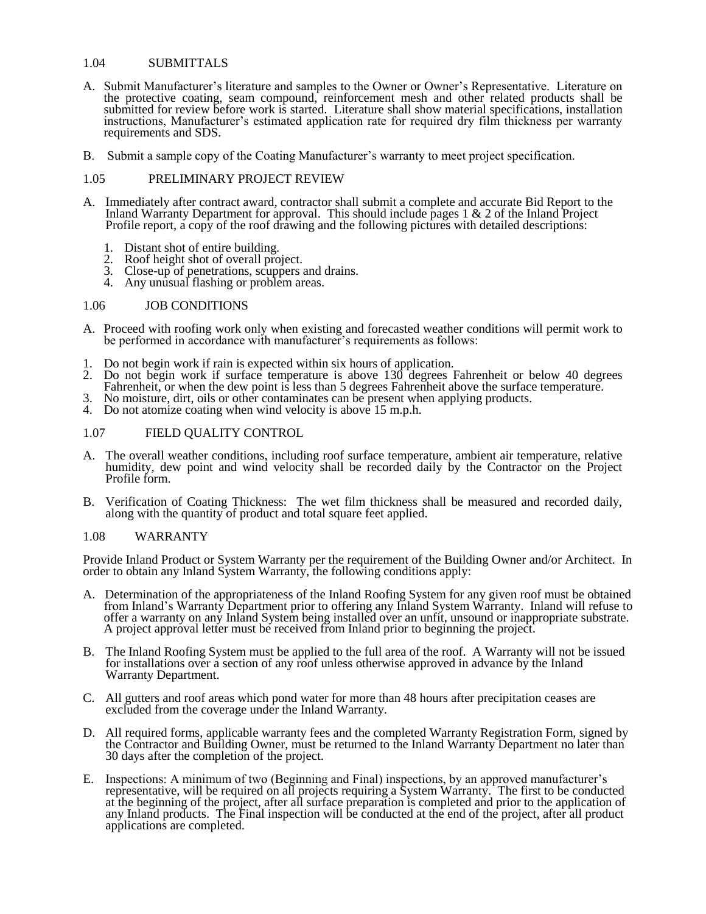# 1.04 SUBMITTALS

- A. Submit Manufacturer's literature and samples to the Owner or Owner's Representative. Literature on the protective coating, seam compound, reinforcement mesh and other related products shall be submitted for review before work is started. Literature shall show material specifications, installation instructions, Manufacturer's estimated application rate for required dry film thickness per warranty requirements and SDS.
- B. Submit a sample copy of the Coating Manufacturer's warranty to meet project specification.

## 1.05 PRELIMINARY PROJECT REVIEW

- A. Immediately after contract award, contractor shall submit a complete and accurate Bid Report to the Inland Warranty Department for approval. This should include pages 1 & 2 of the Inland Project Profile report, a copy of the roof drawing and the following pictures with detailed descriptions:
	- 1. Distant shot of entire building.
	- 2. Roof height shot of overall project.
	- 3. Close-up of penetrations, scuppers and drains.
	- 4. Any unusual flashing or problem areas.

#### 1.06 JOB CONDITIONS

- A. Proceed with roofing work only when existing and forecasted weather conditions will permit work to be performed in accordance with manufacturer's requirements as follows:
- 1. Do not begin work if rain is expected within six hours of application.
- 2. Do not begin work if surface temperature is above 130 degrees Fahrenheit or below 40 degrees Fahrenheit, or when the dew point is less than 5 degrees Fahrenheit above the surface temperature.
- 3. No moisture, dirt, oils or other contaminates can be present when applying products.
- 4. Do not atomize coating when wind velocity is above 15 m.p.h.

#### 1.07 FIELD QUALITY CONTROL

- A. The overall weather conditions, including roof surface temperature, ambient air temperature, relative humidity, dew point and wind velocity shall be recorded daily by the Contractor on the Project Profile form.
- B. Verification of Coating Thickness: The wet film thickness shall be measured and recorded daily, along with the quantity of product and total square feet applied.

#### 1.08 WARRANTY

Provide Inland Product or System Warranty per the requirement of the Building Owner and/or Architect. In order to obtain any Inland System Warranty, the following conditions apply:

- A. Determination of the appropriateness of the Inland Roofing System for any given roof must be obtained from Inland's Warranty Department prior to offering any Inland System Warranty. Inland will refuse to offer a warranty on any Inland System being installed over an unfit, unsound or inappropriate substrate. A project approval letter must be received from Inland prior to beginning the project.
- B. The Inland Roofing System must be applied to the full area of the roof. A Warranty will not be issued for installations over a section of any roof unless otherwise approved in advance by the Inland Warranty Department.
- C. All gutters and roof areas which pond water for more than 48 hours after precipitation ceases are excluded from the coverage under the Inland Warranty.
- D. All required forms, applicable warranty fees and the completed Warranty Registration Form, signed by the Contractor and Building Owner, must be returned to the Inland Warranty Department no later than 30 days after the completion of the project.
- E. Inspections: A minimum of two (Beginning and Final) inspections, by an approved manufacturer's representative, will be required on all projects requiring a System Warranty. The first to be conducted at the beginning of the project, after all surface preparation is completed and prior to the application of any Inland products. The Final inspection will be conducted at the end of the project, after all product applications are completed.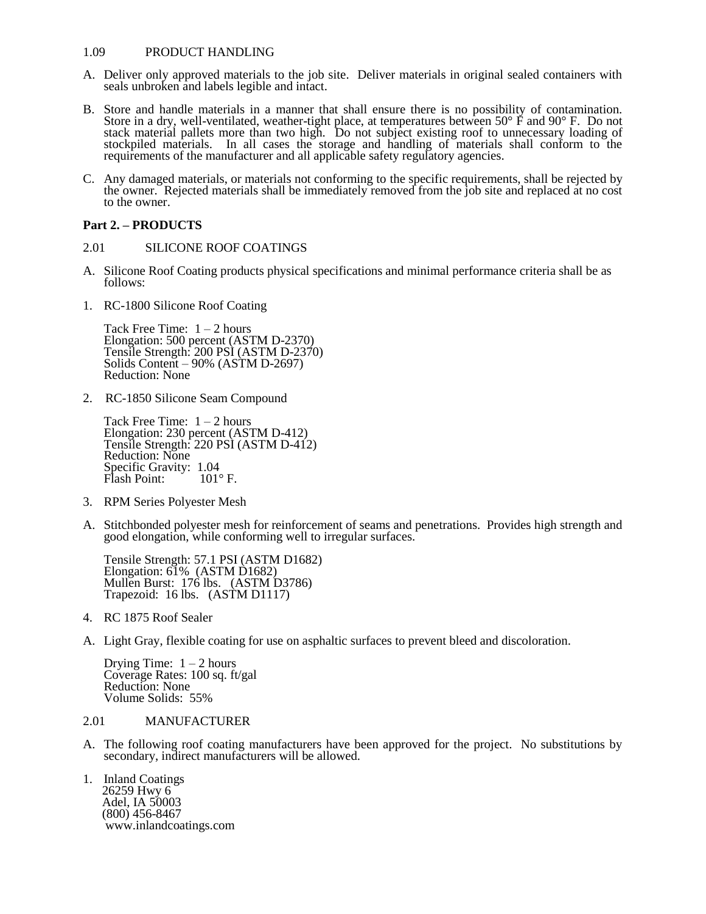## 1.09 PRODUCT HANDLING

- A. Deliver only approved materials to the job site. Deliver materials in original sealed containers with seals unbroken and labels legible and intact.
- B. Store and handle materials in a manner that shall ensure there is no possibility of contamination. Store in a dry, well-ventilated, weather-tight place, at temperatures between 50 $\degree$  F and 90 $\degree$  F. Do not stack material pallets more than two high. Do not subject existing roof to unnecessary loading of stockpiled materials. In all cases the storage and handling of materials shall conform to the requirements of the manufacturer and all applicable safety regulatory agencies.
- C. Any damaged materials, or materials not conforming to the specific requirements, shall be rejected by the owner. Rejected materials shall be immediately removed from the job site and replaced at no cost to the owner.

# **Part 2. – PRODUCTS**

- 2.01 SILICONE ROOF COATINGS
- A. Silicone Roof Coating products physical specifications and minimal performance criteria shall be as follows:
- 1. RC-1800 Silicone Roof Coating

Tack Free Time:  $1 - 2$  hours Elongation: 500 percent (ASTM D-2370) Tensile Strength: 200 PSI (ASTM D-2370) Solids Content – 90% (ASTM D-2697) Reduction: None

2. RC-1850 Silicone Seam Compound

Tack Free Time:  $1 - 2$  hours Elongation: 230 percent (ASTM D-412) Tensile Strength: 220 PSI (ASTM D-412) Reduction: None Specific Gravity: 1.04<br>Flash Point: 101°F. Flash Point:

- 3. RPM Series Polyester Mesh
- A. Stitchbonded polyester mesh for reinforcement of seams and penetrations. Provides high strength and good elongation, while conforming well to irregular surfaces.

Tensile Strength: 57.1 PSI (ASTM D1682) Elongation: 61% (ASTM D1682) Mullen Burst: 176 lbs. (ASTM D3786) Trapezoid: 16 lbs. (ASTM D1117)

- 4. RC 1875 Roof Sealer
- A. Light Gray, flexible coating for use on asphaltic surfaces to prevent bleed and discoloration.

Drying Time:  $1 - 2$  hours Coverage Rates: 100 sq. ft/gal Reduction: None Volume Solids: 55%

#### 2.01 MANUFACTURER

- A. The following roof coating manufacturers have been approved for the project. No substitutions by secondary, indirect manufacturers will be allowed.
- 1. Inland Coatings 26259 Hwy 6 Adel, IA 50003 (800) 456-8467 www.inlandcoatings.com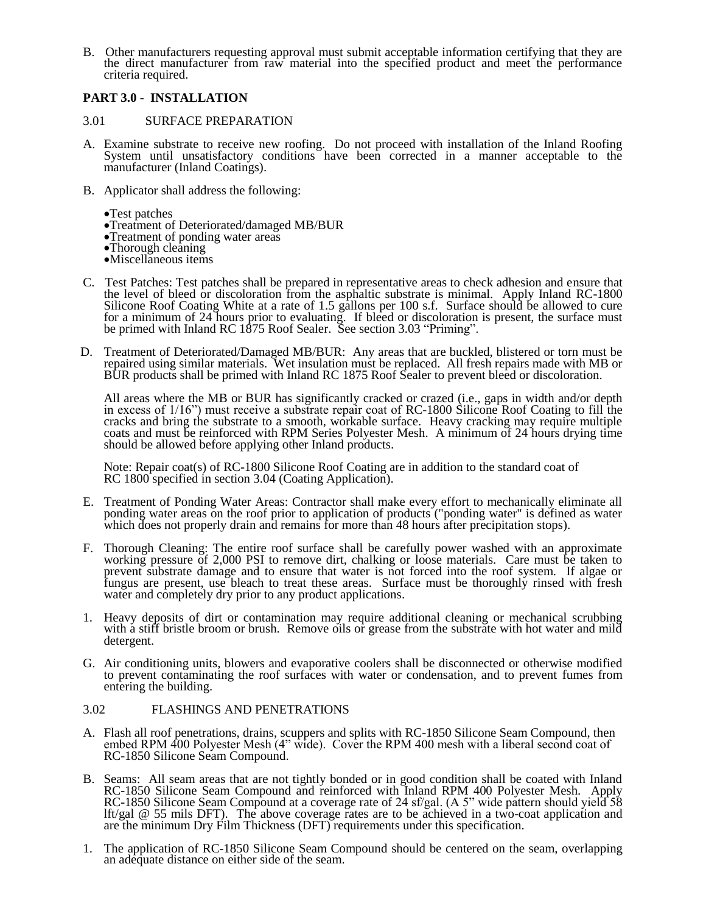B. Other manufacturers requesting approval must submit acceptable information certifying that they are the direct manufacturer from raw material into the specified product and meet the performance criteria required.

# **PART 3.0 - INSTALLATION**

## 3.01 SURFACE PREPARATION

- A. Examine substrate to receive new roofing. Do not proceed with installation of the Inland Roofing System until unsatisfactory conditions have been corrected in a manner acceptable to the manufacturer (Inland Coatings).
- B. Applicator shall address the following:
	- Test patches
	- Treatment of Deteriorated/damaged MB/BUR
	- Treatment of ponding water areas
	- •Thorough cleaning
	- Miscellaneous items
- C. Test Patches: Test patches shall be prepared in representative areas to check adhesion and ensure that the level of bleed or discoloration from the asphaltic substrate is minimal. Apply Inland RC-1800 Silicone Roof Coating White at a rate of 1.5 gallons per 100 s.f. Surface should be allowed to cure for a minimum of 24 hours prior to evaluating. If bleed or discoloration is present, the surface must be primed with Inland RC 1875 Roof Sealer. See section 3.03 "Priming".
- D. Treatment of Deteriorated/Damaged MB/BUR: Any areas that are buckled, blistered or torn must be repaired using similar materials. Wet insulation must be replaced. All fresh repairs made with MB or BUR products shall be primed with Inland RC 1875 Roof Sealer to prevent bleed or discoloration.

All areas where the MB or BUR has significantly cracked or crazed (i.e., gaps in width and/or depth in excess of 1/16") must receive a substrate repair coat of RC-1800 Silicone Roof Coating to fill the cracks and bring the substrate to a smooth, workable surface. Heavy cracking may require multiple coats and must be reinforced with RPM Series Polyester Mesh. A minimum of 24 hours drying time should be allowed before applying other Inland products.

Note: Repair coat(s) of RC-1800 Silicone Roof Coating are in addition to the standard coat of RC 1800 specified in section 3.04 (Coating Application).

- E. Treatment of Ponding Water Areas: Contractor shall make every effort to mechanically eliminate all ponding water areas on the roof prior to application of products ("ponding water" is defined as water which does not properly drain and remains for more than 48 hours after precipitation stops).
- F. Thorough Cleaning: The entire roof surface shall be carefully power washed with an approximate working pressure of 2,000 PSI to remove dirt, chalking or loose materials. Care must be taken to prevent substrate damage and to ensure that water is not forced into the roof system. If algae or fungus are present, use bleach to treat these areas. Surface must be thoroughly rinsed with fresh water and completely dry prior to any product applications.
- 1. Heavy deposits of dirt or contamination may require additional cleaning or mechanical scrubbing with a stiff bristle broom or brush. Remove oils or grease from the substrate with hot water and mild detergent.
- G. Air conditioning units, blowers and evaporative coolers shall be disconnected or otherwise modified to prevent contaminating the roof surfaces with water or condensation, and to prevent fumes from entering the building.

## 3.02 FLASHINGS AND PENETRATIONS

- A. Flash all roof penetrations, drains, scuppers and splits with RC-1850 Silicone Seam Compound, then embed RPM 400 Polyester Mesh (4" wide). Cover the RPM 400 mesh with a liberal second coat of RC-1850 Silicone Seam Compound.
- B. Seams: All seam areas that are not tightly bonded or in good condition shall be coated with Inland RC-1850 Silicone Seam Compound and reinforced with Inland RPM 400 Polyester Mesh. Apply RC-1850 Silicone Seam Compound at a coverage rate of 24 sf/gal. (A 5" wide pattern should yield 58 lft/gal @ 55 mils DFT). The above coverage rates are to be achieved in a two-coat application and are the minimum Dry Film Thickness (DFT) requirements under this specification.
- 1. The application of RC-1850 Silicone Seam Compound should be centered on the seam, overlapping an adequate distance on either side of the seam.